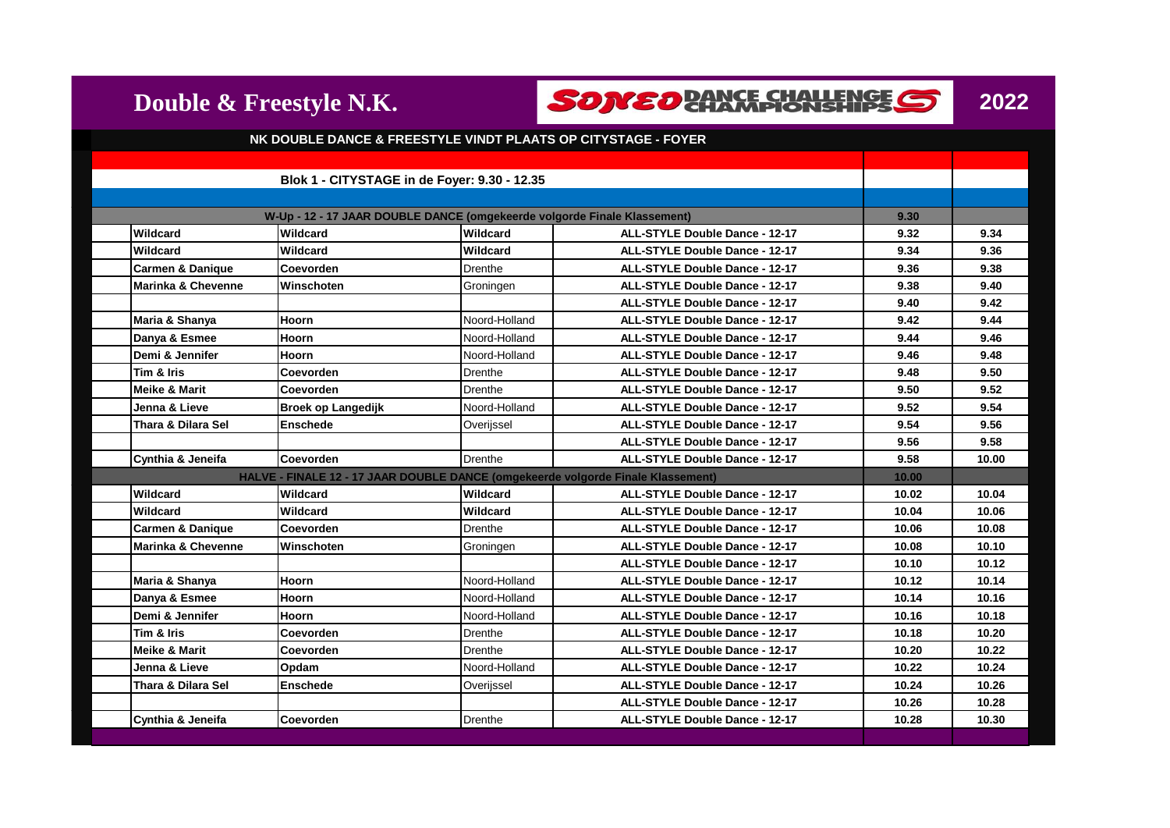



| NK DOUBLE DANCE & FREESTYLE VINDT PLAATS OP CITYSTAGE - FOYER |                                                                                  |                                                                          |                                       |       |       |
|---------------------------------------------------------------|----------------------------------------------------------------------------------|--------------------------------------------------------------------------|---------------------------------------|-------|-------|
|                                                               |                                                                                  |                                                                          |                                       |       |       |
|                                                               |                                                                                  | Blok 1 - CITYSTAGE in de Foyer: 9.30 - 12.35                             |                                       |       |       |
|                                                               |                                                                                  |                                                                          |                                       |       |       |
|                                                               |                                                                                  | W-Up - 12 - 17 JAAR DOUBLE DANCE (omgekeerde volgorde Finale Klassement) |                                       | 9.30  |       |
| Wildcard                                                      | Wildcard                                                                         | Wildcard                                                                 | <b>ALL-STYLE Double Dance - 12-17</b> | 9.32  | 9.34  |
| Wildcard                                                      | Wildcard                                                                         | Wildcard                                                                 | <b>ALL-STYLE Double Dance - 12-17</b> | 9.34  | 9.36  |
| <b>Carmen &amp; Danique</b>                                   | Coevorden                                                                        | Drenthe                                                                  | <b>ALL-STYLE Double Dance - 12-17</b> | 9.36  | 9.38  |
| <b>Marinka &amp; Chevenne</b>                                 | Winschoten                                                                       | Groningen                                                                | <b>ALL-STYLE Double Dance - 12-17</b> | 9.38  | 9.40  |
|                                                               |                                                                                  |                                                                          | <b>ALL-STYLE Double Dance - 12-17</b> | 9.40  | 9.42  |
| Maria & Shanya                                                | Hoorn                                                                            | Noord-Holland                                                            | <b>ALL-STYLE Double Dance - 12-17</b> | 9.42  | 9.44  |
| Danya & Esmee                                                 | Hoorn                                                                            | Noord-Holland                                                            | <b>ALL-STYLE Double Dance - 12-17</b> | 9.44  | 9.46  |
| Demi & Jennifer                                               | <b>Hoorn</b>                                                                     | Noord-Holland                                                            | <b>ALL-STYLE Double Dance - 12-17</b> | 9.46  | 9.48  |
| Tim & Iris                                                    | Coevorden                                                                        | <b>Drenthe</b>                                                           | <b>ALL-STYLE Double Dance - 12-17</b> | 9.48  | 9.50  |
| <b>Meike &amp; Marit</b>                                      | Coevorden                                                                        | Drenthe                                                                  | ALL-STYLE Double Dance - 12-17        | 9.50  | 9.52  |
| Jenna & Lieve                                                 | <b>Broek op Langedijk</b>                                                        | Noord-Holland                                                            | ALL-STYLE Double Dance - 12-17        | 9.52  | 9.54  |
| Thara & Dilara Sel                                            | Enschede                                                                         | Overijssel                                                               | <b>ALL-STYLE Double Dance - 12-17</b> | 9.54  | 9.56  |
|                                                               |                                                                                  |                                                                          | <b>ALL-STYLE Double Dance - 12-17</b> | 9.56  | 9.58  |
| Cynthia & Jeneifa                                             | Coevorden                                                                        | Drenthe                                                                  | <b>ALL-STYLE Double Dance - 12-17</b> | 9.58  | 10.00 |
|                                                               | HALVE - FINALE 12 - 17 JAAR DOUBLE DANCE (omgekeerde volgorde Finale Klassement) |                                                                          |                                       | 10.00 |       |
| Wildcard                                                      | Wildcard                                                                         | Wildcard                                                                 | <b>ALL-STYLE Double Dance - 12-17</b> | 10.02 | 10.04 |
| Wildcard                                                      | Wildcard                                                                         | Wildcard                                                                 | <b>ALL-STYLE Double Dance - 12-17</b> | 10.04 | 10.06 |
| <b>Carmen &amp; Danique</b>                                   | Coevorden                                                                        | Drenthe                                                                  | <b>ALL-STYLE Double Dance - 12-17</b> | 10.06 | 10.08 |
| <b>Marinka &amp; Chevenne</b>                                 | Winschoten                                                                       | Groningen                                                                | <b>ALL-STYLE Double Dance - 12-17</b> | 10.08 | 10.10 |
|                                                               |                                                                                  |                                                                          | ALL-STYLE Double Dance - 12-17        | 10.10 | 10.12 |
| Maria & Shanya                                                | Hoorn                                                                            | Noord-Holland                                                            | <b>ALL-STYLE Double Dance - 12-17</b> | 10.12 | 10.14 |
| Danya & Esmee                                                 | Hoorn                                                                            | Noord-Holland                                                            | ALL-STYLE Double Dance - 12-17        | 10.14 | 10.16 |
| Demi & Jennifer                                               | Hoorn                                                                            | Noord-Holland                                                            | <b>ALL-STYLE Double Dance - 12-17</b> | 10.16 | 10.18 |
| Tim & Iris                                                    | Coevorden                                                                        | <b>Drenthe</b>                                                           | ALL-STYLE Double Dance - 12-17        | 10.18 | 10.20 |
| <b>Meike &amp; Marit</b>                                      | Coevorden                                                                        | <b>Drenthe</b>                                                           | <b>ALL-STYLE Double Dance - 12-17</b> | 10.20 | 10.22 |
| Jenna & Lieve                                                 | Opdam                                                                            | Noord-Holland                                                            | <b>ALL-STYLE Double Dance - 12-17</b> | 10.22 | 10.24 |
| Thara & Dilara Sel                                            | <b>Enschede</b>                                                                  | Overijssel                                                               | <b>ALL-STYLE Double Dance - 12-17</b> | 10.24 | 10.26 |
|                                                               |                                                                                  |                                                                          | <b>ALL-STYLE Double Dance - 12-17</b> | 10.26 | 10.28 |
| Cynthia & Jeneifa                                             | Coevorden                                                                        | Drenthe                                                                  | <b>ALL-STYLE Double Dance - 12-17</b> | 10.28 | 10.30 |
|                                                               |                                                                                  |                                                                          |                                       |       |       |

**Double & Freestyle N.K.**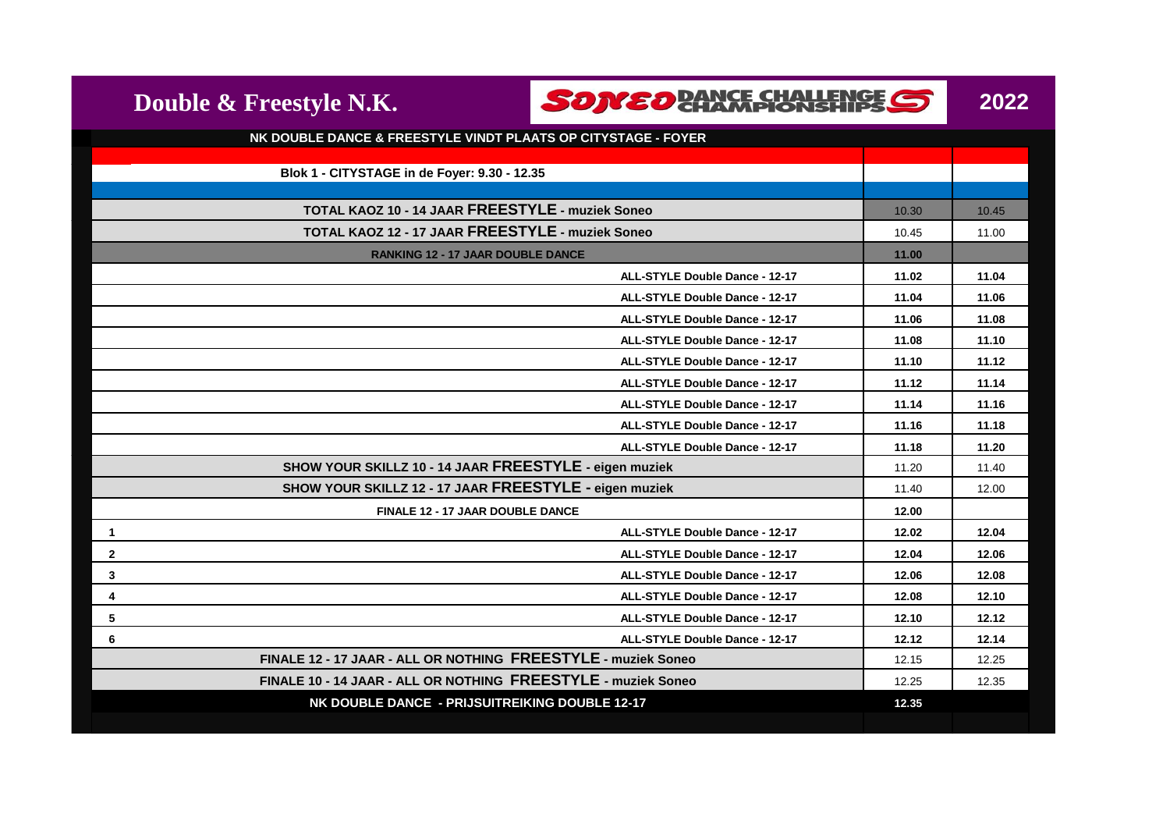| Double & Freestyle N.K.                                       | SONEO <b>RANCE CHALLENGE</b> S        |       | 2022  |
|---------------------------------------------------------------|---------------------------------------|-------|-------|
| NK DOUBLE DANCE & FREESTYLE VINDT PLAATS OP CITYSTAGE - FOYER |                                       |       |       |
|                                                               |                                       |       |       |
| Blok 1 - CITYSTAGE in de Foyer: 9.30 - 12.35                  |                                       |       |       |
| TOTAL KAOZ 10 - 14 JAAR FREESTYLE - muziek Soneo              |                                       | 10.30 | 10.45 |
| TOTAL KAOZ 12 - 17 JAAR FREESTYLE - muziek Soneo              |                                       |       | 11.00 |
| <b>RANKING 12 - 17 JAAR DOUBLE DANCE</b>                      |                                       |       |       |
|                                                               | ALL-STYLE Double Dance - 12-17        | 11.02 | 11.04 |
|                                                               | <b>ALL-STYLE Double Dance - 12-17</b> | 11.04 | 11.06 |
|                                                               | ALL-STYLE Double Dance - 12-17        | 11.06 | 11.08 |
|                                                               | <b>ALL-STYLE Double Dance - 12-17</b> | 11.08 | 11.10 |
|                                                               | ALL-STYLE Double Dance - 12-17        | 11.10 | 11.12 |
|                                                               | <b>ALL-STYLE Double Dance - 12-17</b> | 11.12 | 11.14 |
|                                                               | <b>ALL-STYLE Double Dance - 12-17</b> | 11.14 | 11.16 |
|                                                               | <b>ALL-STYLE Double Dance - 12-17</b> | 11.16 | 11.18 |
|                                                               | ALL-STYLE Double Dance - 12-17        | 11.18 | 11.20 |
| SHOW YOUR SKILLZ 10 - 14 JAAR FREESTYLE - eigen muziek        |                                       | 11.20 | 11.40 |
| SHOW YOUR SKILLZ 12 - 17 JAAR FREESTYLE - eigen muziek        |                                       | 11.40 | 12.00 |
| <b>FINALE 12 - 17 JAAR DOUBLE DANCE</b>                       |                                       | 12.00 |       |
| $\mathbf{1}$                                                  | <b>ALL-STYLE Double Dance - 12-17</b> | 12.02 | 12.04 |
| $\mathbf{2}$                                                  | ALL-STYLE Double Dance - 12-17        | 12.04 | 12.06 |
| $\mathbf{3}$                                                  | <b>ALL-STYLE Double Dance - 12-17</b> | 12.06 | 12.08 |
| 4                                                             | ALL-STYLE Double Dance - 12-17        | 12.08 | 12.10 |
| 5                                                             | <b>ALL-STYLE Double Dance - 12-17</b> | 12.10 | 12.12 |
| 6                                                             | ALL-STYLE Double Dance - 12-17        | 12.12 | 12.14 |
| FINALE 12 - 17 JAAR - ALL OR NOTHING FREESTYLE - muziek Soneo |                                       | 12.15 | 12.25 |
| FINALE 10 - 14 JAAR - ALL OR NOTHING FREESTYLE - muziek Soneo |                                       | 12.25 | 12.35 |
| NK DOUBLE DANCE - PRIJSUITREIKING DOUBLE 12-17                |                                       | 12.35 |       |
|                                                               |                                       |       |       |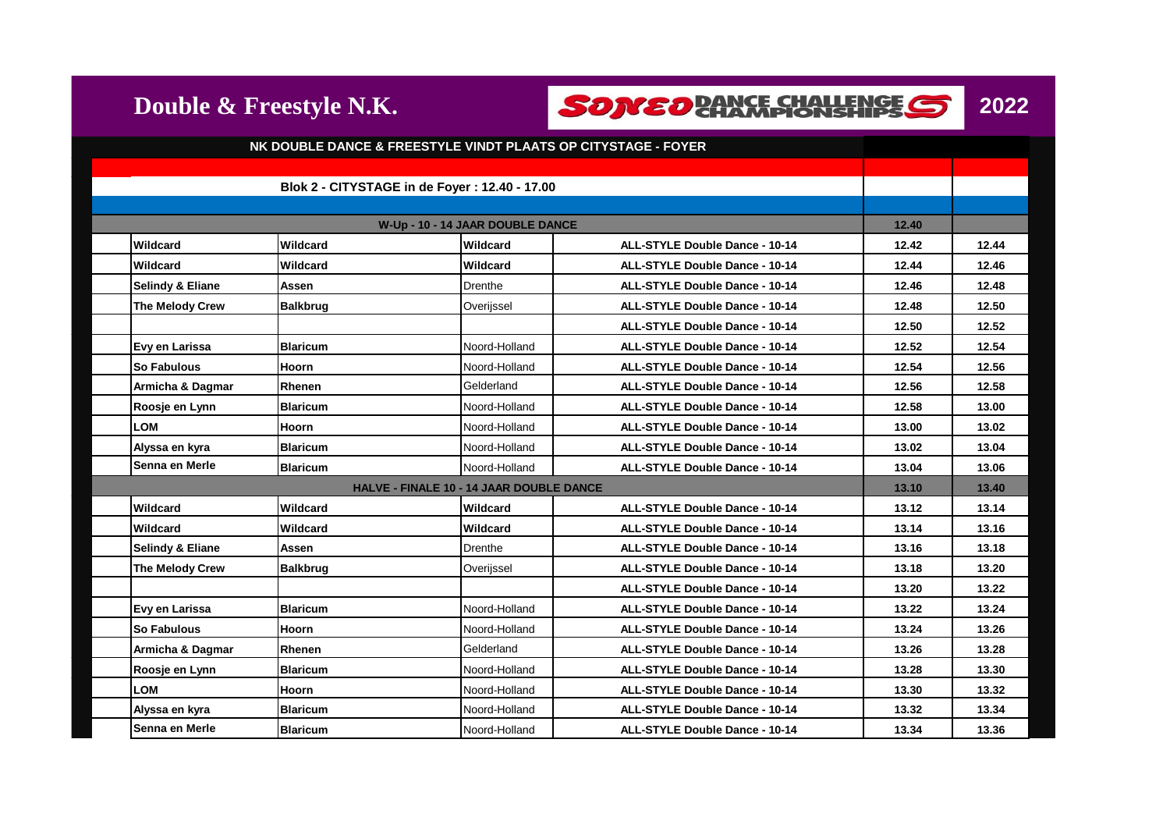**Double & Freestyle N.K.**

**SONED BANCE CHALLENGE S** 



|                                          |                 | NK DOUBLE DANCE & FREESTYLE VINDT PLAATS OP CITYSTAGE - FOYER |                                       |       |       |
|------------------------------------------|-----------------|---------------------------------------------------------------|---------------------------------------|-------|-------|
|                                          |                 |                                                               |                                       |       |       |
|                                          |                 | Blok 2 - CITYSTAGE in de Foyer: 12.40 - 17.00                 |                                       |       |       |
|                                          |                 | W-Up - 10 - 14 JAAR DOUBLE DANCE                              |                                       | 12.40 |       |
| Wildcard                                 | Wildcard        | Wildcard                                                      | <b>ALL-STYLE Double Dance - 10-14</b> | 12.42 | 12.44 |
| Wildcard                                 | Wildcard        | Wildcard                                                      | <b>ALL-STYLE Double Dance - 10-14</b> | 12.44 | 12.46 |
| <b>Selindy &amp; Eliane</b>              | Assen           | <b>Drenthe</b>                                                | <b>ALL-STYLE Double Dance - 10-14</b> | 12.46 | 12.48 |
| The Melody Crew                          | <b>Balkbrug</b> | Overijssel                                                    | <b>ALL-STYLE Double Dance - 10-14</b> | 12.48 | 12.50 |
|                                          |                 |                                                               | <b>ALL-STYLE Double Dance - 10-14</b> | 12.50 | 12.52 |
| Evy en Larissa                           | <b>Blaricum</b> | Noord-Holland                                                 | <b>ALL-STYLE Double Dance - 10-14</b> | 12.52 | 12.54 |
| So Fabulous                              | Hoorn           | Noord-Holland                                                 | <b>ALL-STYLE Double Dance - 10-14</b> | 12.54 | 12.56 |
| Armicha & Dagmar                         | Rhenen          | Gelderland                                                    | <b>ALL-STYLE Double Dance - 10-14</b> | 12.56 | 12.58 |
| Roosje en Lynn                           | <b>Blaricum</b> | Noord-Holland                                                 | ALL-STYLE Double Dance - 10-14        | 12.58 | 13.00 |
| <b>LOM</b>                               | Hoorn           | Noord-Holland                                                 | <b>ALL-STYLE Double Dance - 10-14</b> | 13.00 | 13.02 |
| Alyssa en kyra                           | <b>Blaricum</b> | Noord-Holland                                                 | <b>ALL-STYLE Double Dance - 10-14</b> | 13.02 | 13.04 |
| Senna en Merle                           | <b>Blaricum</b> | Noord-Holland                                                 | <b>ALL-STYLE Double Dance - 10-14</b> | 13.04 | 13.06 |
| HALVE - FINALE 10 - 14 JAAR DOUBLE DANCE |                 |                                                               |                                       | 13.10 | 13.40 |
| Wildcard                                 | Wildcard        | Wildcard                                                      | <b>ALL-STYLE Double Dance - 10-14</b> | 13.12 | 13.14 |
| Wildcard                                 | Wildcard        | Wildcard                                                      | <b>ALL-STYLE Double Dance - 10-14</b> | 13.14 | 13.16 |
| <b>Selindy &amp; Eliane</b>              | Assen           | Drenthe                                                       | <b>ALL-STYLE Double Dance - 10-14</b> | 13.16 | 13.18 |
| The Melody Crew                          | <b>Balkbrug</b> | Overijssel                                                    | <b>ALL-STYLE Double Dance - 10-14</b> | 13.18 | 13.20 |
|                                          |                 |                                                               | <b>ALL-STYLE Double Dance - 10-14</b> | 13.20 | 13.22 |
| Evy en Larissa                           | <b>Blaricum</b> | Noord-Holland                                                 | <b>ALL-STYLE Double Dance - 10-14</b> | 13.22 | 13.24 |
| So Fabulous                              | <b>Hoorn</b>    | Noord-Holland                                                 | <b>ALL-STYLE Double Dance - 10-14</b> | 13.24 | 13.26 |
| Armicha & Dagmar                         | Rhenen          | Gelderland                                                    | <b>ALL-STYLE Double Dance - 10-14</b> | 13.26 | 13.28 |
| Roosje en Lynn                           | <b>Blaricum</b> | Noord-Holland                                                 | <b>ALL-STYLE Double Dance - 10-14</b> | 13.28 | 13.30 |
| <b>LOM</b>                               | <b>Hoorn</b>    | Noord-Holland                                                 | <b>ALL-STYLE Double Dance - 10-14</b> | 13.30 | 13.32 |
| Alyssa en kyra                           | <b>Blaricum</b> | Noord-Holland                                                 | <b>ALL-STYLE Double Dance - 10-14</b> | 13.32 | 13.34 |
| Senna en Merle                           | <b>Blaricum</b> | Noord-Holland                                                 | <b>ALL-STYLE Double Dance - 10-14</b> | 13.34 | 13.36 |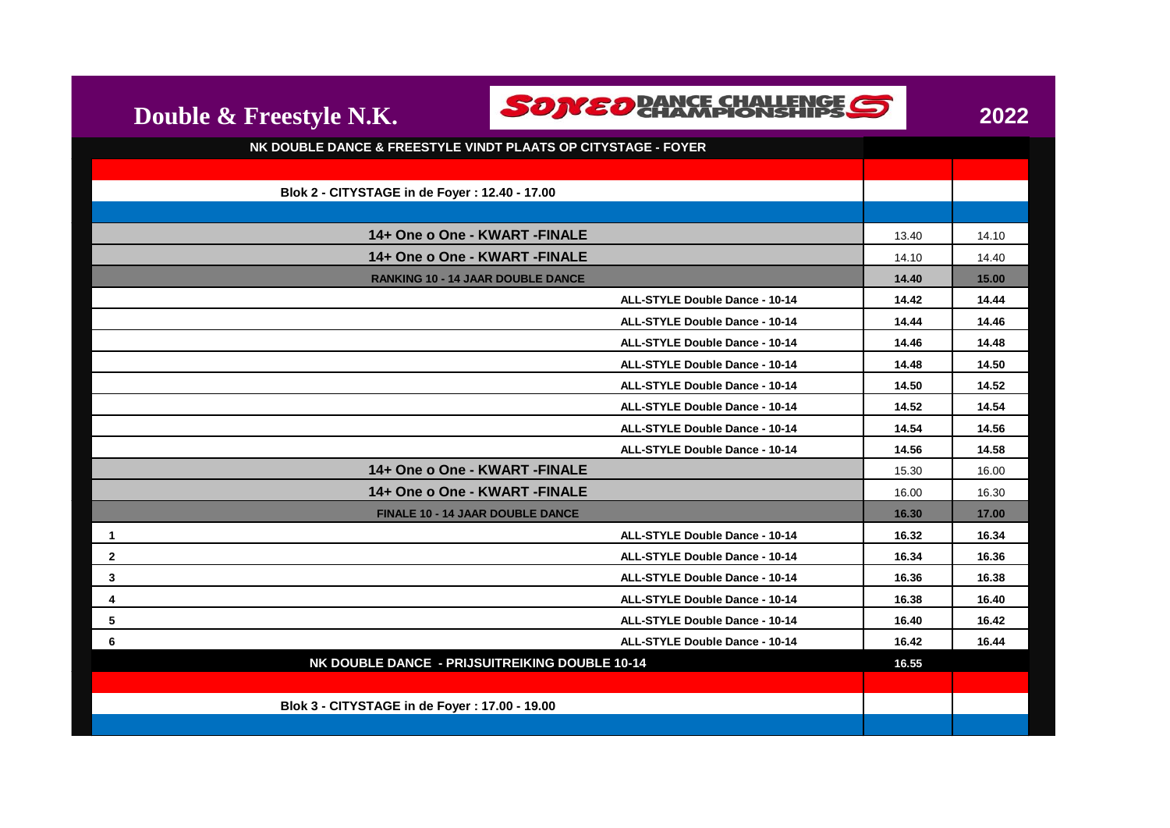| ı | 0<br>ľ |  |
|---|--------|--|
|   |        |  |

**SONED BANCE CHALLENGE S** 

**Double & Freestyle N.K.**

| NK DOUBLE DANCE & FREESTYLE VINDT PLAATS OP CITYSTAGE - FOYER |       |       |
|---------------------------------------------------------------|-------|-------|
|                                                               |       |       |
| Blok 2 - CITYSTAGE in de Foyer: 12.40 - 17.00                 |       |       |
|                                                               |       |       |
| 14+ One o One - KWART - FINALE                                | 13.40 | 14.10 |
| 14+ One o One - KWART - FINALE                                | 14.10 | 14.40 |
| <b>RANKING 10 - 14 JAAR DOUBLE DANCE</b>                      | 14.40 | 15.00 |
| <b>ALL-STYLE Double Dance - 10-14</b>                         | 14.42 | 14.44 |
| ALL-STYLE Double Dance - 10-14                                | 14.44 | 14.46 |
| <b>ALL-STYLE Double Dance - 10-14</b>                         | 14.46 | 14.48 |
| <b>ALL-STYLE Double Dance - 10-14</b>                         | 14.48 | 14.50 |
| <b>ALL-STYLE Double Dance - 10-14</b>                         | 14.50 | 14.52 |
| <b>ALL-STYLE Double Dance - 10-14</b>                         | 14.52 | 14.54 |
| ALL-STYLE Double Dance - 10-14                                | 14.54 | 14.56 |
| <b>ALL-STYLE Double Dance - 10-14</b>                         | 14.56 | 14.58 |
| 14+ One o One - KWART - FINALE                                | 15.30 | 16.00 |
| 14+ One o One - KWART - FINALE                                | 16.00 | 16.30 |
| FINALE 10 - 14 JAAR DOUBLE DANCE                              | 16.30 | 17.00 |
| <b>ALL-STYLE Double Dance - 10-14</b><br>$\mathbf{1}$         | 16.32 | 16.34 |
| $\mathbf{2}$<br><b>ALL-STYLE Double Dance - 10-14</b>         | 16.34 | 16.36 |
| $\mathbf{3}$<br>ALL-STYLE Double Dance - 10-14                | 16.36 | 16.38 |
| 4<br><b>ALL-STYLE Double Dance - 10-14</b>                    | 16.38 | 16.40 |
| 5<br>ALL-STYLE Double Dance - 10-14                           | 16.40 | 16.42 |
| 6<br>ALL-STYLE Double Dance - 10-14                           | 16.42 | 16.44 |
| NK DOUBLE DANCE - PRIJSUITREIKING DOUBLE 10-14                | 16.55 |       |
|                                                               |       |       |
| Blok 3 - CITYSTAGE in de Foyer: 17.00 - 19.00                 |       |       |
|                                                               |       |       |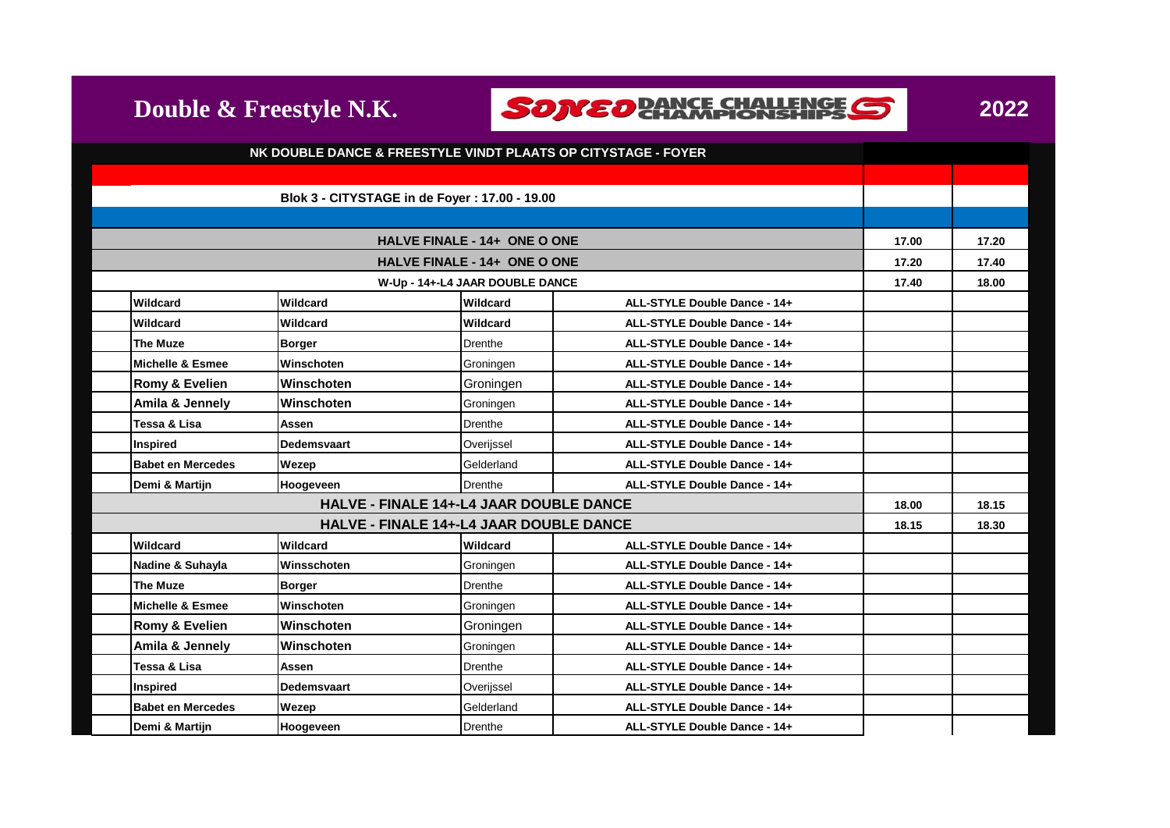



|                                 | NK DOUBLE DANCE & FREESTYLE VINDT PLAATS OP CITYSTAGE - FOYER                                    |                                               |                                     |                              |       |       |
|---------------------------------|--------------------------------------------------------------------------------------------------|-----------------------------------------------|-------------------------------------|------------------------------|-------|-------|
|                                 |                                                                                                  |                                               |                                     |                              |       |       |
|                                 |                                                                                                  | Blok 3 - CITYSTAGE in de Foyer: 17.00 - 19.00 |                                     |                              |       |       |
|                                 |                                                                                                  |                                               |                                     |                              |       |       |
|                                 |                                                                                                  |                                               | HALVE FINALE - 14+ ONE O ONE        |                              | 17.00 | 17.20 |
|                                 |                                                                                                  |                                               | <b>HALVE FINALE - 14+ ONE O ONE</b> |                              | 17.20 | 17.40 |
| W-Up - 14+-L4 JAAR DOUBLE DANCE |                                                                                                  |                                               |                                     |                              | 17.40 | 18.00 |
|                                 | Wildcard<br>Wildcard<br>Wildcard<br>ALL-STYLE Double Dance - 14+                                 |                                               |                                     |                              |       |       |
|                                 | Wildcard                                                                                         | Wildcard                                      | Wildcard                            | ALL-STYLE Double Dance - 14+ |       |       |
|                                 | <b>The Muze</b>                                                                                  | <b>Borger</b>                                 | <b>Drenthe</b>                      | ALL-STYLE Double Dance - 14+ |       |       |
|                                 | <b>Michelle &amp; Esmee</b>                                                                      | Winschoten                                    | Groningen                           | ALL-STYLE Double Dance - 14+ |       |       |
|                                 | Romy & Evelien                                                                                   | Winschoten                                    | Groningen                           | ALL-STYLE Double Dance - 14+ |       |       |
|                                 | Amila & Jennely                                                                                  | Winschoten                                    | Groningen                           | ALL-STYLE Double Dance - 14+ |       |       |
|                                 | Tessa & Lisa                                                                                     | Assen                                         | Drenthe                             | ALL-STYLE Double Dance - 14+ |       |       |
|                                 | <b>Inspired</b>                                                                                  | <b>Dedemsvaart</b>                            | Overijssel                          | ALL-STYLE Double Dance - 14+ |       |       |
|                                 | <b>Babet en Mercedes</b>                                                                         | Wezep                                         | Gelderland                          | ALL-STYLE Double Dance - 14+ |       |       |
|                                 |                                                                                                  |                                               |                                     |                              |       |       |
|                                 | Demi & Martijn                                                                                   | Hoogeveen                                     | Drenthe                             | ALL-STYLE Double Dance - 14+ |       |       |
|                                 | <b>HALVE - FINALE 14+-L4 JAAR DOUBLE DANCE</b><br><b>HALVE - FINALE 14+-L4 JAAR DOUBLE DANCE</b> |                                               |                                     |                              | 18.00 | 18.15 |
|                                 |                                                                                                  |                                               |                                     |                              | 18.15 | 18.30 |
|                                 | Wildcard                                                                                         | Wildcard                                      | Wildcard                            | ALL-STYLE Double Dance - 14+ |       |       |
|                                 | Nadine & Suhayla                                                                                 | Winsschoten                                   | Groningen                           | ALL-STYLE Double Dance - 14+ |       |       |
|                                 | <b>The Muze</b>                                                                                  | <b>Borger</b>                                 | Drenthe                             | ALL-STYLE Double Dance - 14+ |       |       |
|                                 | <b>Michelle &amp; Esmee</b>                                                                      | Winschoten                                    | Groningen                           | ALL-STYLE Double Dance - 14+ |       |       |
|                                 | Romy & Evelien                                                                                   | Winschoten                                    | Groningen                           | ALL-STYLE Double Dance - 14+ |       |       |
|                                 | Amila & Jennely                                                                                  | Winschoten                                    | Groningen                           | ALL-STYLE Double Dance - 14+ |       |       |
|                                 | Tessa & Lisa                                                                                     | Assen                                         | Drenthe                             | ALL-STYLE Double Dance - 14+ |       |       |
|                                 | Inspired                                                                                         | Dedemsvaart                                   | Overijssel                          | ALL-STYLE Double Dance - 14+ |       |       |
|                                 | <b>Babet en Mercedes</b>                                                                         | Wezep                                         | Gelderland                          | ALL-STYLE Double Dance - 14+ |       |       |
|                                 | Demi & Martiin                                                                                   | Hoogeveen                                     | Drenthe                             | ALL-STYLE Double Dance - 14+ |       |       |